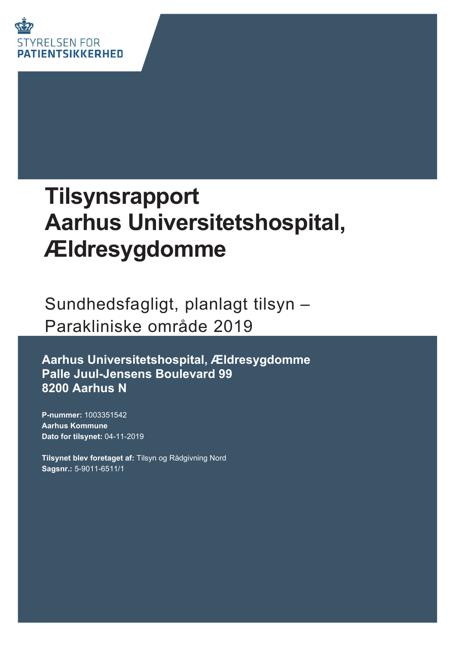

# **Tilsynsrapport Aarhus Universitetshospital,** Ældresygdomme

Sundhedsfagligt, planlagt tilsyn -Parakliniske område 2019

Aarhus Universitetshospital, Ældresygdomme Palle Juul-Jensens Boulevard 99 8200 Aarhus N

P-nummer: 1003351542 **Aarhus Kommune** Dato for tilsynet: 04-11-2019

Tilsynet blev foretaget af: Tilsyn og Rådgivning Nord Sagsnr.: 5-9011-6511/1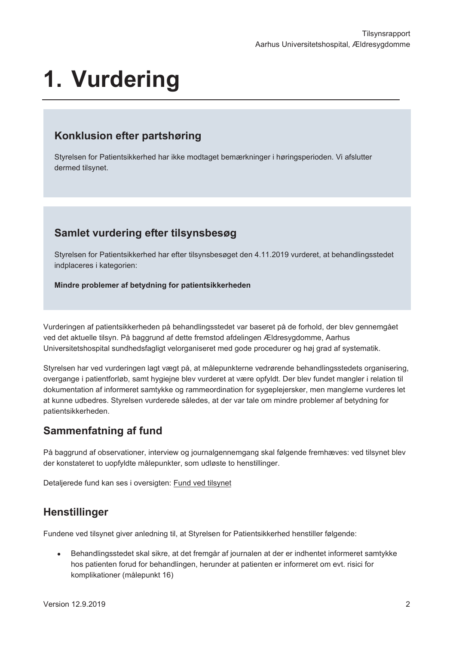# 1. Vurdering

### Konklusion efter partshøring

Styrelsen for Patientsikkerhed har ikke modtaget bemærkninger i høringsperioden. Vi afslutter dermed tilsynet.

### Samlet vurdering efter tilsynsbesøg

Styrelsen for Patientsikkerhed har efter tilsynsbesøget den 4.11.2019 vurderet, at behandlingsstedet indplaceres i kategorien:

Mindre problemer af betydning for patientsikkerheden

Vurderingen af patientsikkerheden på behandlingsstedet var baseret på de forhold, der blev gennemgået ved det aktuelle tilsyn. På baggrund af dette fremstod afdelingen Ældresygdomme, Aarhus Universitetshospital sundhedsfagligt velorganiseret med gode procedurer og høj grad af systematik.

Styrelsen har ved vurderingen lagt vægt på, at målepunkterne vedrørende behandlingsstedets organisering, overgange i patientforløb, samt hygiejne blev vurderet at være opfyldt. Der blev fundet mangler i relation til dokumentation af informeret samtykke og rammeordination for sygeplejersker, men manglerne vurderes let at kunne udbedres. Styrelsen vurderede således, at der var tale om mindre problemer af betydning for patientsikkerheden.

## Sammenfatning af fund

På baggrund af observationer, interview og journalgennemgang skal følgende fremhæves: ved tilsynet blev der konstateret to uopfyldte målepunkter, som udløste to henstillinger.

Detaljerede fund kan ses i oversigten: Fund ved tilsynet

## Henstillinger

Fundene ved tilsynet giver anledning til, at Styrelsen for Patientsikkerhed henstiller følgende:

Behandlingsstedet skal sikre, at det fremgår af journalen at der er indhentet informeret samtykke  $\bullet$ hos patienten forud for behandlingen, herunder at patienten er informeret om evt. risici for komplikationer (målepunkt 16)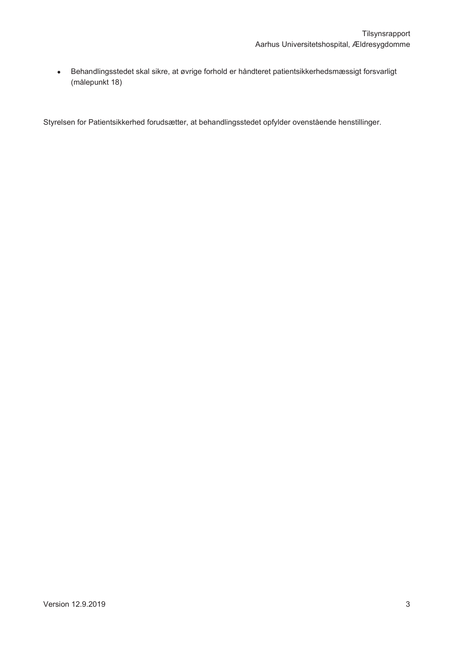Behandlingsstedet skal sikre, at øvrige forhold er håndteret patientsikkerhedsmæssigt forsvarligt  $\bullet$ (målepunkt 18)

Styrelsen for Patientsikkerhed forudsætter, at behandlingsstedet opfylder ovenstående henstillinger.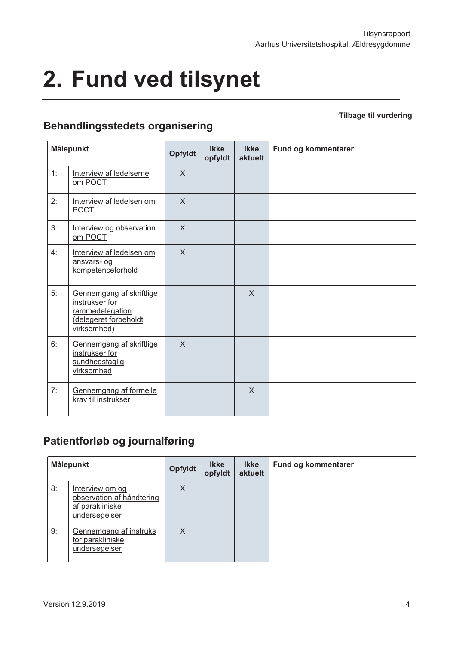# 2. Fund ved tilsynet

#### ↑Tilbage til vurdering

# **Behandlingsstedets organisering**

| Målepunkt |                                                                                                      | <b>Opfyldt</b> | <b>Ikke</b><br>opfyldt | <b>Ikke</b><br>aktuelt | Fund og kommentarer |
|-----------|------------------------------------------------------------------------------------------------------|----------------|------------------------|------------------------|---------------------|
| 1:        | Interview af ledelserne<br>om POCT                                                                   | $\mathsf{X}$   |                        |                        |                     |
| 2:        | Interview af ledelsen om<br><b>POCT</b>                                                              | $\sf X$        |                        |                        |                     |
| 3:        | Interview og observation<br>om POCT                                                                  | $\mathsf{X}$   |                        |                        |                     |
| 4:        | Interview af ledelsen om<br>ansvars- og<br>kompetenceforhold                                         | $\sf X$        |                        |                        |                     |
| 5:        | Gennemgang af skriftlige<br>instrukser for<br>rammedelegation<br>delegeret forbeholdt<br>virksomhed) |                |                        | $\mathsf{X}$           |                     |
| 6:        | Gennemgang af skriftlige<br>instrukser for<br>sundhedsfaglig<br>virksomhed                           | $\mathsf{X}$   |                        |                        |                     |
| 7:        | Gennemgang af formelle<br>krav til instrukser                                                        |                |                        | $\mathsf{X}$           |                     |

# Patientforløb og journalføring

| Målepunkt |                                                                                  | <b>Opfyldt</b> | <b>Ikke</b><br>opfyldt | <b>Ikke</b><br>aktuelt | Fund og kommentarer |
|-----------|----------------------------------------------------------------------------------|----------------|------------------------|------------------------|---------------------|
| 8:        | Interview om og<br>observation af håndtering<br>af parakliniske<br>undersøgelser | X              |                        |                        |                     |
| 9:        | Gennemgang af instruks<br>for parakliniske<br>undersøgelser                      | X              |                        |                        |                     |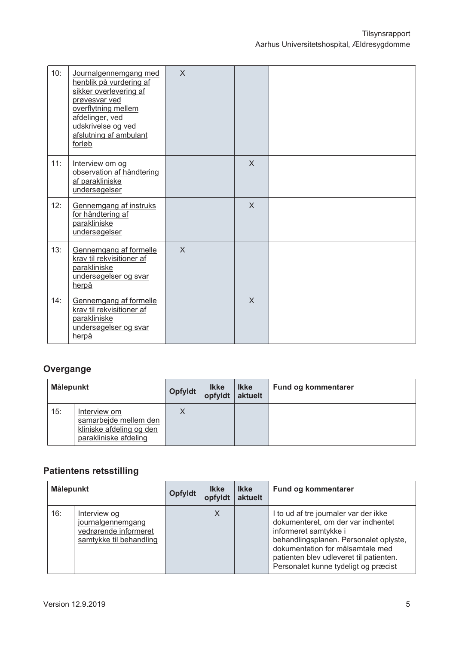| 10: | Journalgennemgang med<br>henblik på vurdering af<br>sikker overlevering af<br>prøvesvar ved<br>overflytning mellem<br>afdelinger, ved<br>udskrivelse og ved<br>afslutning af ambulant<br>forløb | $\mathsf{X}$ |              |  |
|-----|-------------------------------------------------------------------------------------------------------------------------------------------------------------------------------------------------|--------------|--------------|--|
| 11: | Interview om og<br>observation af håndtering<br>af parakliniske<br>undersøgelser                                                                                                                |              | $\mathsf{X}$ |  |
| 12: | Gennemgang af instruks<br>for håndtering af<br>parakliniske<br>undersøgelser                                                                                                                    |              | $\mathsf{X}$ |  |
| 13: | Gennemgang af formelle<br>krav til rekvisitioner af<br>parakliniske<br>undersøgelser og svar<br>herpå                                                                                           | $\mathsf{X}$ |              |  |
| 14: | Gennemgang af formelle<br>krav til rekvisitioner af<br>parakliniske<br>undersøgelser og svar<br>herpå                                                                                           |              | $\mathsf{X}$ |  |

# Overgange

| Målepunkt |                                                                                            | <b>Opfyldt</b> | <b>Ikke</b><br>opfyldt | <b>Ikke</b><br>aktuelt | <b>Fund og kommentarer</b> |
|-----------|--------------------------------------------------------------------------------------------|----------------|------------------------|------------------------|----------------------------|
| 15:       | Interview om<br>samarbejde mellem den<br>kliniske afdeling og den<br>parakliniske afdeling |                |                        |                        |                            |

# **Patientens retsstilling**

| Målepunkt |                                                                                       | <b>Opfyldt</b> | <b>Ikke</b><br>opfyldt | <b>Ikke</b><br>aktuelt | Fund og kommentarer                                                                                                                                                                                                                                                   |
|-----------|---------------------------------------------------------------------------------------|----------------|------------------------|------------------------|-----------------------------------------------------------------------------------------------------------------------------------------------------------------------------------------------------------------------------------------------------------------------|
| 16:       | Interview og<br>journalgennemgang<br>vedrørende informeret<br>samtykke til behandling |                | X                      |                        | I to ud af tre journaler var der ikke<br>dokumenteret, om der var indhentet<br>informeret samtykke i<br>behandlingsplanen. Personalet oplyste,<br>dokumentation for målsamtale med<br>patienten blev udleveret til patienten.<br>Personalet kunne tydeligt og præcist |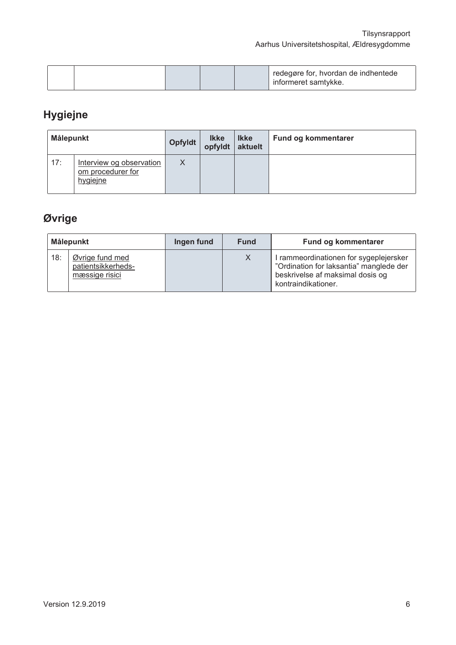|  |  |  | redegøre for, hvordan de indhentede<br>∟informeret samtvkke. |
|--|--|--|--------------------------------------------------------------|
|  |  |  |                                                              |

# Hygiejne

| Målepunkt |                                                           | Opfyldt | <br>  lkke<br>  opfyldt | <b>Ikke</b><br>aktuelt | <b>Fund og kommentarer</b> |
|-----------|-----------------------------------------------------------|---------|-------------------------|------------------------|----------------------------|
| 17:       | Interview og observation<br>om procedurer for<br>hygiejne | X       |                         |                        |                            |

# Øvrige

| Målepunkt |                                                         | Ingen fund | <b>Fund</b> | Fund og kommentarer                                                                                                                          |
|-----------|---------------------------------------------------------|------------|-------------|----------------------------------------------------------------------------------------------------------------------------------------------|
| 18:       | Øvrige fund med<br>patientsikkerheds-<br>mæssige risici |            | X           | I rammeordinationen for sygeplejersker<br>"Ordination for laksantia" manglede der<br>beskrivelse af maksimal dosis og<br>kontraindikationer. |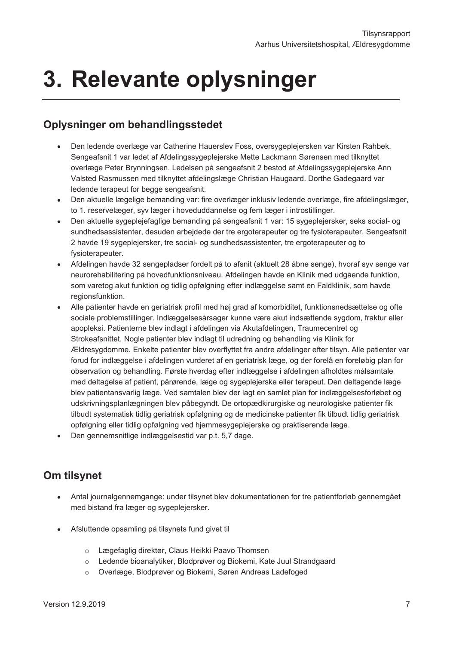# 3. Relevante oplysninger

### **Oplysninger om behandlingsstedet**

- $\bullet$ Den ledende overlæge var Catherine Hauerslev Foss, oversygeplejersken var Kirsten Rahbek. Sengeafsnit 1 var ledet af Afdelingssygeplejerske Mette Lackmann Sørensen med tilknyttet overlæge Peter Brynningsen. Ledelsen på sengeafsnit 2 bestod af Afdelingssygeplejerske Ann Valsted Rasmussen med tilknyttet afdelingslæge Christian Haugaard. Dorthe Gadegaard var ledende terapeut for begge sengeafsnit.
- Den aktuelle lægelige bemanding var: fire overlæger inklusiv ledende overlæge, fire afdelingslæger,  $\bullet$ to 1. reservelæger, syv læger i hoveduddannelse og fem læger i introstillinger.
- Den aktuelle sygeplejefaglige bemanding på sengeafsnit 1 var: 15 sygeplejersker, seks social- og  $\bullet$ sundhedsassistenter, desuden arbejdede der tre ergoterapeuter og tre fysioterapeuter. Sengeafsnit 2 havde 19 sygeplejersker, tre social- og sundhedsassistenter, tre ergoterapeuter og to fysioterapeuter.
- Afdelingen havde 32 sengepladser fordelt på to afsnit (aktuelt 28 åbne senge), hvoraf syv senge var neurorehabilitering på hovedfunktionsniveau. Afdelingen havde en Klinik med udgående funktion, som varetog akut funktion og tidlig opfølgning efter indlæggelse samt en Faldklinik, som havde regionsfunktion.
- Alle patienter havde en geriatrisk profil med høj grad af komorbiditet, funktionsnedsættelse og ofte sociale problemstillinger. Indlæggelsesårsager kunne være akut indsættende sygdom, fraktur eller apopleksi. Patienterne blev indlagt i afdelingen via Akutafdelingen, Traumecentret og Strokeafsnittet. Nogle patienter blev indlagt til udredning og behandling via Klinik for Ældresygdomme. Enkelte patienter blev overflyttet fra andre afdelinger efter tilsyn. Alle patienter var forud for indlæggelse i afdelingen vurderet af en geriatrisk læge, og der forelå en foreløbig plan for observation og behandling. Første hverdag efter indlæggelse i afdelingen afholdtes målsamtale med deltagelse af patient, pårørende, læge og sygeplejerske eller terapeut. Den deltagende læge blev patientansvarlig læge. Ved samtalen blev der lagt en samlet plan for indlæggelsesforløbet og udskrivningsplanlægningen blev påbegyndt. De ortopædkirurgiske og neurologiske patienter fik tilbudt systematisk tidlig geriatrisk opfølgning og de medicinske patienter fik tilbudt tidlig geriatrisk opfølgning eller tidlig opfølgning ved hjemmesygeplejerske og praktiserende læge.
- Den gennemsnitlige indlæggelsestid var p.t. 5,7 dage.

### Om tilsynet

- Antal journalgennemgange: under tilsynet blev dokumentationen for tre patientforløb gennemgået  $\bullet$  . med bistand fra læger og svgepleiersker.
- Afsluttende opsamling på tilsynets fund givet til  $\bullet$ 
	- o Lægefaglig direktør, Claus Heikki Paavo Thomsen
	- o Ledende bioanalytiker, Blodprøver og Biokemi, Kate Juul Strandgaard
	- Overlæge, Blodprøver og Biokemi, Søren Andreas Ladefoged  $\circ$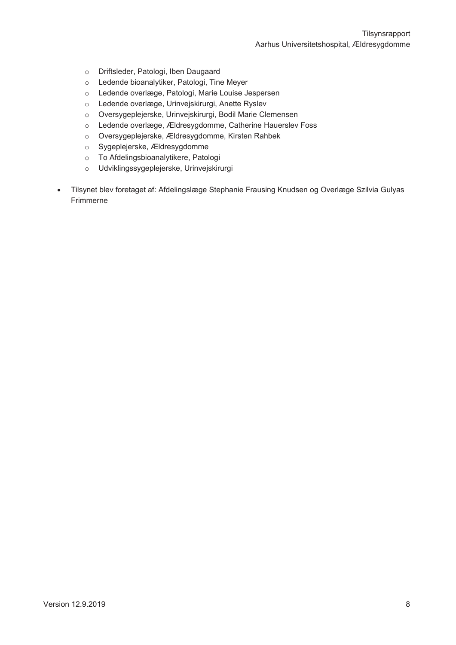Tilsynsrapport Aarhus Universitetshospital, Ældresygdomme

- o Driftsleder, Patologi, Iben Daugaard
- Ledende bioanalytiker, Patologi, Tine Meyer  $\circ$
- Ledende overlæge, Patologi, Marie Louise Jespersen  $\circ$
- Ledende overlæge, Urinvejskirurgi, Anette Ryslev  $\circ$
- Oversygeplejerske, Urinvejskirurgi, Bodil Marie Clemensen  $\circ$
- Ledende overlæge, Ældresygdomme, Catherine Hauerslev Foss  $\circ$
- Oversygeplejerske, Ældresygdomme, Kirsten Rahbek  $\circ$
- Sygeplejerske, Ældresygdomme  $\circ$
- To Afdelingsbioanalytikere, Patologi  $\circ$
- Udviklingssygeplejerske, Urinvejskirurgi  $\circ$
- $\bullet$ Tilsynet blev foretaget af: Afdelingslæge Stephanie Frausing Knudsen og Overlæge Szilvia Gulyas Frimmerne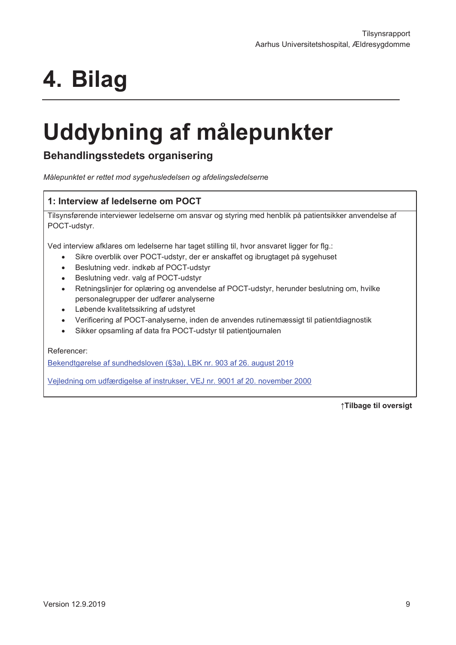# 4. Bilag

# Uddybning af målepunkter

### **Behandlingsstedets organisering**

Målepunktet er rettet mod sygehusledelsen og afdelingsledelserne

#### 1: Interview af ledelserne om POCT

Tilsynsførende interviewer ledelserne om ansvar og styring med henblik på patientsikker anvendelse af POCT-udstyr.

Ved interview afklares om ledelserne har taget stilling til, hvor ansvaret ligger for flg.:

- Sikre overblik over POCT-udstyr, der er anskaffet og ibrugtaget på sygehuset
- Beslutning vedr. indkøb af POCT-udstyr
- Beslutning vedr. valg af POCT-udstyr
- Retningslinjer for oplæring og anvendelse af POCT-udstyr, herunder beslutning om, hvilke personalegrupper der udfører analyserne
- Løbende kvalitetssikring af udstvret
- Verificering af POCT-analyserne, inden de anvendes rutinemæssigt til patientdiagnostik
- Sikker opsamling af data fra POCT-udstyr til patientjournalen

Referencer:

Bekendtgørelse af sundhedsloven (§3a), LBK nr. 903 af 26. august 2019

Vejledning om udfærdigelse af instrukser, VEJ nr. 9001 af 20. november 2000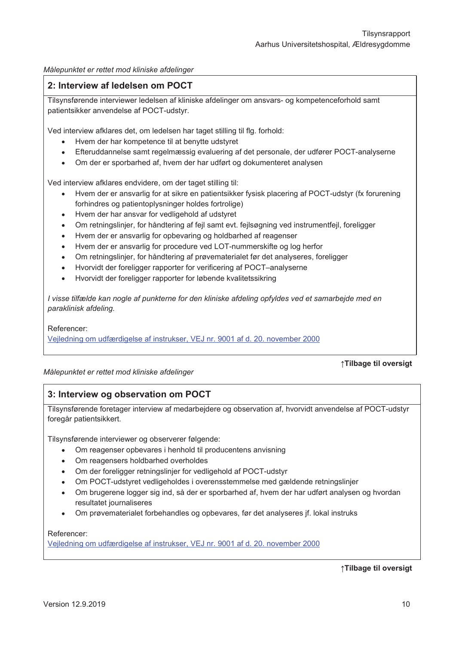Målepunktet er rettet mod kliniske afdelinger

#### 2: Interview af ledelsen om POCT

Tilsynsførende interviewer ledelsen af kliniske afdelinger om ansvars- og kompetenceforhold samt patientsikker anvendelse af POCT-udstyr.

Ved interview afklares det, om ledelsen har taget stilling til flg. forhold:

- Hvem der har kompetence til at benytte udstyret
- Efteruddannelse samt regelmæssig evaluering af det personale, der udfører POCT-analyserne
- Om der er sporbarhed af, hvem der har udført og dokumenteret analysen

Ved interview afklares endvidere, om der taget stilling til:

- Hvem der er ansvarlig for at sikre en patientsikker fysisk placering af POCT-udstyr (fx forurening forhindres og patientoplysninger holdes fortrolige)
- Hvem der har ansvar for vedligehold af udstyret
- Om retningslinier, for håndtering af feil samt evt, feilsøgning ved instrumentfeil, foreligger
- Hvem der er ansvarlig for opbevaring og holdbarhed af reagenser
- Hvem der er ansvarlig for procedure ved LOT-nummerskifte og log herfor
- Om retningslinjer, for håndtering af prøvematerialet før det analyseres, foreligger
- Hvorvidt der foreligger rapporter for verificering af POCT-analyserne
- Hvorvidt der foreligger rapporter for løbende kvalitetssikring

I visse tilfælde kan nogle af punkterne for den kliniske afdeling opfyldes ved et samarbeide med en paraklinisk afdeling.

Referencer:

Vejledning om udfærdigelse af instrukser, VEJ nr. 9001 af d. 20. november 2000

#### Målepunktet er rettet mod kliniske afdelinger

#### ↑Tilbage til oversigt

#### 3: Interview og observation om POCT

Tilsynsførende foretager interview af medarbejdere og observation af, hvorvidt anvendelse af POCT-udstyr foregår patientsikkert.

Tilsynsførende interviewer og observerer følgende:

- Om reagenser opbevares i henhold til producentens anvisning
- Om reagensers holdbarhed overholdes
- Om der foreligger retningslinjer for vedligehold af POCT-udstyr
- Om POCT-udstyret vedligeholdes i overensstemmelse med gældende retningslinjer
- Om brugerene logger sig ind, så der er sporbarhed af, hvem der har udført analysen og hvordan resultatet journaliseres
- Om prøvematerialet forbehandles og opbevares, før det analyseres jf. lokal instruks

#### Referencer:

Veiledning om udfærdigelse af instrukser, VEJ nr. 9001 af d. 20. november 2000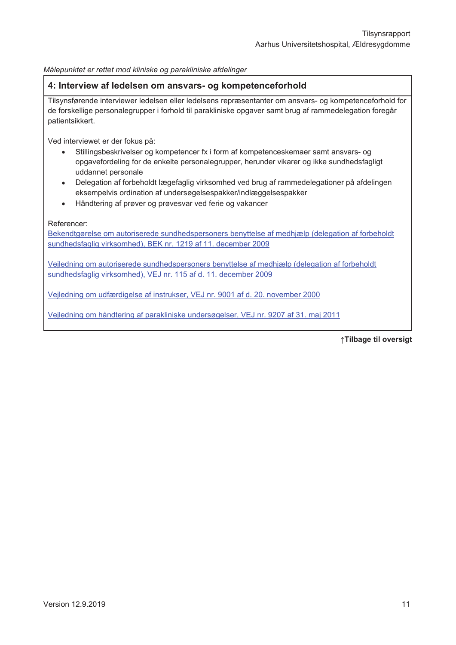Målepunktet er rettet mod kliniske og parakliniske afdelinger

#### 4: Interview af ledelsen om ansvars- og kompetenceforhold

Tilsynsførende interviewer ledelsen eller ledelsens repræsentanter om ansvars- og kompetenceforhold for de forskellige personalegrupper i forhold til parakliniske opgaver samt brug af rammedelegation foregår patientsikkert.

Ved interviewet er der fokus på:

- Stillingsbeskrivelser og kompetencer fx i form af kompetenceskemaer samt ansvars- og  $\bullet$ opgavefordeling for de enkelte personalegrupper, herunder vikarer og ikke sundhedsfagligt uddannet personale
- Delegation af forbeholdt lægefaglig virksomhed ved brug af rammedelegationer på afdelingen eksempelvis ordination af undersøgelsespakker/indlæggelsespakker
- Håndtering af prøver og prøvesvar ved ferie og vakancer

Referencer:

Bekendtgørelse om autoriserede sundhedspersoners benyttelse af medhjælp (delegation af forbeholdt sundhedsfaglig virksomhed), BEK nr. 1219 af 11. december 2009

Vejledning om autoriserede sundhedspersoners benyttelse af medhjælp (delegation af forbeholdt sundhedsfaglig virksomhed), VEJ nr. 115 af d. 11. december 2009

Vejledning om udfærdigelse af instrukser, VEJ nr. 9001 af d. 20. november 2000

Vejledning om håndtering af parakliniske undersøgelser, VEJ nr. 9207 af 31. maj 2011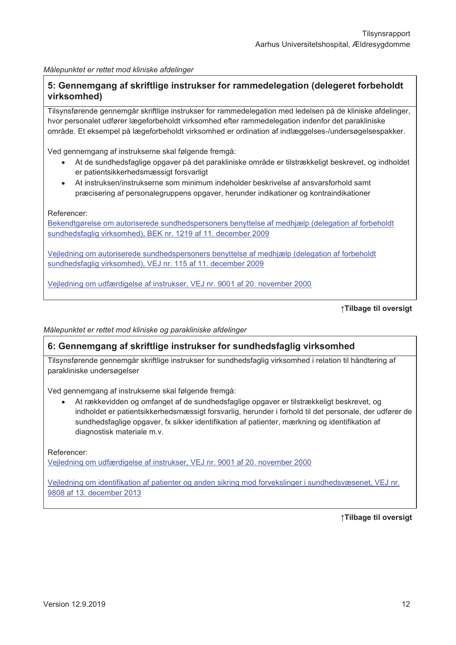Målepunktet er rettet mod kliniske afdelinger

#### 5: Gennemgang af skriftlige instrukser for rammedelegation (delegeret forbeholdt virksomhed)

Tilsynsførende gennemgår skriftlige instrukser for rammedelegation med ledelsen på de kliniske afdelinger, hvor personalet udfører lægeforbeholdt virksomhed efter rammedelegation indenfor det parakliniske område. Et eksempel på lægeforbeholdt virksomhed er ordination af indlæggelses-/undersøgelsespakker.

Ved gennemgang af instrukserne skal følgende fremgå:

- At de sundhedsfaglige opgaver på det parakliniske område er tilstrækkeligt beskrevet, og indholdet er patientsikkerhedsmæssigt forsvarligt
- At instruksen/instrukserne som minimum indeholder beskrivelse af ansvarsforhold samt præcisering af personalegruppens opgaver, herunder indikationer og kontraindikationer

Referencer:

Bekendtgørelse om autoriserede sundhedspersoners benyttelse af medhjælp (delegation af forbeholdt sundhedsfaglig virksomhed). BEK nr. 1219 af 11. december 2009

Veiledning om autoriserede sundhedspersoners benyttelse af medhiælp (delegation af forbeholdt sundhedsfaglig virksomhed), VEJ nr. 115 af 11. december 2009

Veiledning om udfærdigelse af instrukser. VEJ nr. 9001 af 20. november 2000

```
↑Tilbage til oversigt
```
Målepunktet er rettet mod kliniske og parakliniske afdelinger

#### 6: Gennemgang af skriftlige instrukser for sundhedsfaglig virksomhed

Tilsynsførende gennemgår skriftlige instrukser for sundhedsfaglig virksomhed i relation til håndtering af parakliniske undersøgelser

Ved gennemgang af instrukserne skal følgende fremgå:

At rækkevidden og omfanget af de sundhedsfaglige opgaver er tilstrækkeligt beskrevet, og indholdet er patientsikkerhedsmæssigt forsvarlig, herunder i forhold til det personale, der udfører de sundhedsfaglige opgaver, fx sikker identifikation af patienter, mærkning og identifikation af diagnostisk materiale m.v.

Referencer: Vejledning om udfærdigelse af instrukser, VEJ nr. 9001 af 20. november 2000

Veiledning om identifikation af patienter og anden sikring mod forvekslinger i sundhedsvæsenet, VEJ nr. 9808 af 13. december 2013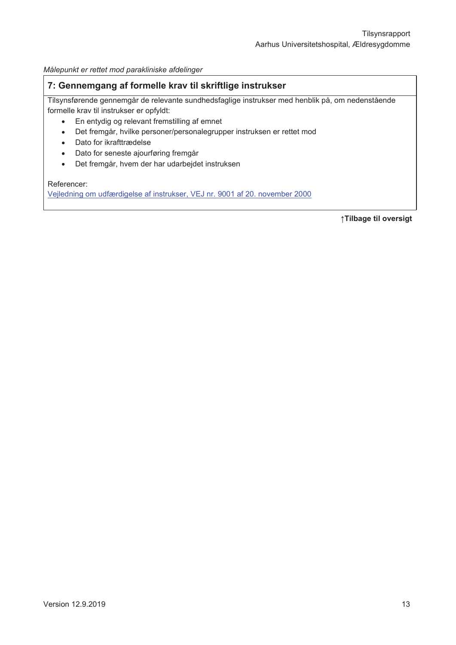Målepunkt er rettet mod parakliniske afdelinger

#### 7: Gennemgang af formelle krav til skriftlige instrukser

Tilsynsførende gennemgår de relevante sundhedsfaglige instrukser med henblik på, om nedenstående formelle krav til instrukser er opfyldt:

- $\bullet$ En entydig og relevant fremstilling af emnet
- Det fremgår, hvilke personer/personalegrupper instruksen er rettet mod  $\bullet$
- Dato for ikrafttrædelse  $\Delta$
- Dato for seneste ajourføring fremgår  $\bullet$
- $\bullet$ Det fremgår, hvem der har udarbejdet instruksen

Referencer:

Vejledning om udfærdigelse af instrukser, VEJ nr. 9001 af 20. november 2000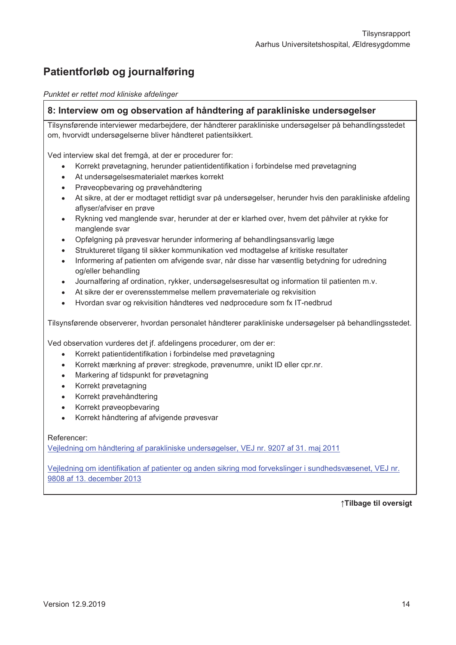# Patientforløb og journalføring

Punktet er rettet mod kliniske afdelinger

#### 8: Interview om og observation af håndtering af parakliniske undersøgelser

Tilsynsførende interviewer medarbeidere, der håndterer parakliniske undersøgelser på behandlingsstedet om, hvorvidt undersøgelserne bliver håndteret patientsikkert.

Ved interview skal det fremgå, at der er procedurer for:

- Korrekt prøvetagning, herunder patientidentifikation i forbindelse med prøvetagning
- At undersøgelsesmaterialet mærkes korrekt
- Prøveopbevaring og prøvehåndtering
- At sikre, at der er modtaget rettidigt svar på undersøgelser, herunder hvis den parakliniske afdeling aflyser/afviser en prøve
- Rykning ved manglende svar, herunder at der er klarhed over, hvem det påhviler at rykke for manglende svar
- Opfølgning på prøvesvar herunder informering af behandlingsansvarlig læge
- Struktureret tilgang til sikker kommunikation ved modtagelse af kritiske resultater
- Informering af patienten om afvigende svar, når disse har væsentlig betydning for udredning og/eller behandling
- Journalføring af ordination, rykker, undersøgelsesresultat og information til patienten m.v.
- At sikre der er overensstemmelse mellem prøvemateriale og rekvisition
- Hvordan svar og rekvisition håndteres ved nødprocedure som fx IT-nedbrud

Tilsynsførende observerer, hvordan personalet håndterer parakliniske undersøgelser på behandlingsstedet.

Ved observation vurderes det jf. afdelingens procedurer, om der er:

- Korrekt patientidentifikation i forbindelse med prøvetagning
- Korrekt mærkning af prøver: stregkode, prøvenumre, unikt ID eller cpr.nr.  $\bullet$
- Markering af tidspunkt for prøvetagning
- Korrekt prøvetagning
- Korrekt prøvehåndtering
- Korrekt prøveopbevaring
- Korrekt håndtering af afvigende prøvesvar

#### Referencer:

Vejledning om håndtering af parakliniske undersøgelser, VEJ nr. 9207 af 31. maj 2011

Veiledning om identifikation af patienter og anden sikring mod forvekslinger i sundhedsvæsenet. VEJ nr. 9808 af 13. december 2013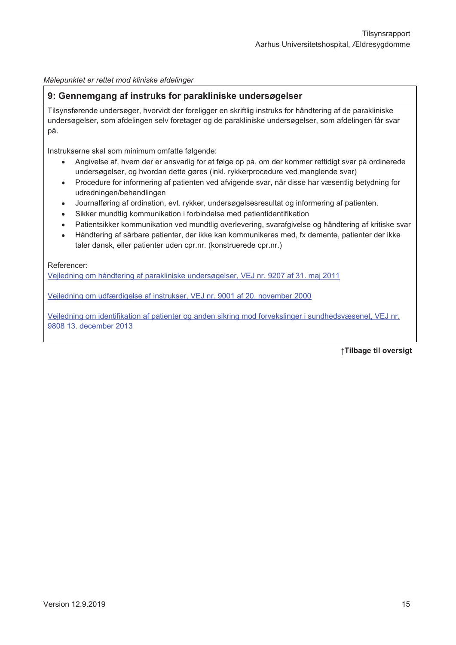Målepunktet er rettet mod kliniske afdelinger

#### 9: Gennemgang af instruks for parakliniske undersøgelser

Tilsynsførende undersøger, hvorvidt der foreligger en skriftlig instruks for håndtering af de parakliniske undersøgelser, som afdelingen selv foretager og de parakliniske undersøgelser, som afdelingen får svar på.

Instrukserne skal som minimum omfatte følgende:

- Angivelse af, hvem der er ansvarlig for at følge op på, om der kommer rettidigt svar på ordinerede undersøgelser, og hvordan dette gøres (inkl. rykkerprocedure ved manglende svar)
- Procedure for informering af patienten ved afvigende svar, når disse har væsentlig betydning for udredningen/behandlingen
- Journalføring af ordination, evt. rykker, undersøgelsesresultat og informering af patienten.
- Sikker mundtlig kommunikation i forbindelse med patientidentifikation
- Patientsikker kommunikation ved mundtlig overlevering, svarafgivelse og håndtering af kritiske svar
- Håndtering af sårbare patienter, der ikke kan kommunikeres med, fx demente, patienter der ikke taler dansk, eller patienter uden cpr.nr. (konstruerede cpr.nr.)

Referencer:

Vejledning om håndtering af parakliniske undersøgelser, VEJ nr. 9207 af 31. maj 2011

Vejledning om udfærdigelse af instrukser, VEJ nr. 9001 af 20. november 2000

Veiledning om identifikation af patienter og anden sikring mod forvekslinger i sundhedsvæsenet, VEJ nr. 9808 13. december 2013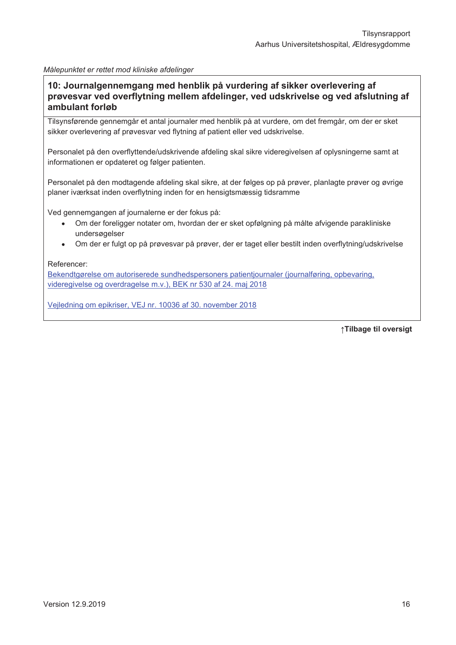#### Målepunktet er rettet mod kliniske afdelinger

10: Journalgennemgang med henblik på vurdering af sikker overlevering af prøvesvar ved overflytning mellem afdelinger, ved udskrivelse og ved afslutning af ambulant forløb

Tilsynsførende gennemgår et antal journaler med henblik på at vurdere, om det fremgår, om der er sket sikker overlevering af prøvesvar ved flytning af patient eller ved udskrivelse.

Personalet på den overflyttende/udskrivende afdeling skal sikre videregivelsen af oplysningerne samt at informationen er opdateret og følger patienten.

Personalet på den modtagende afdeling skal sikre, at der følges op på prøver, planlagte prøver og øvrige planer iværksat inden overflytning inden for en hensigtsmæssig tidsramme

Ved gennemgangen af journalerne er der fokus på:

- Om der foreligger notater om, hvordan der er sket opfølgning på målte afvigende parakliniske undersøgelser
- Om der er fulgt op på prøvesvar på prøver, der er taget eller bestilt inden overflytning/udskrivelse

#### Referencer:

Bekendtgørelse om autoriserede sundhedspersoners patientiournaler (journalføring, opbevaring, videregivelse og overdragelse m.v.), BEK nr 530 af 24. maj 2018

Vejledning om epikriser, VEJ nr. 10036 af 30. november 2018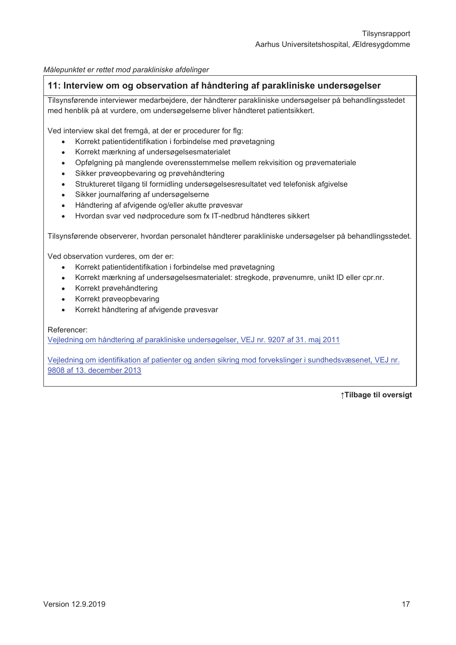Målepunktet er rettet mod parakliniske afdelinger

#### 11: Interview om og observation af håndtering af parakliniske undersøgelser

Tilsynsførende interviewer medarbejdere, der håndterer parakliniske undersøgelser på behandlingsstedet med henblik på at vurdere, om undersøgelserne bliver håndteret patientsikkert.

Ved interview skal det fremgå, at der er procedurer for flg:

- Korrekt patientidentifikation i forbindelse med prøvetagning
- Korrekt mærkning af undersøgelsesmaterialet
- Opfølgning på manglende overensstemmelse mellem rekvisition og prøvemateriale
- Sikker prøveopbevaring og prøvehåndtering
- Struktureret tilgang til formidling undersøgelsesresultatet ved telefonisk afgivelse
- Sikker journalføring af undersøgelserne
- Håndtering af afvigende og/eller akutte prøvesvar
- Hvordan svar ved nødprocedure som fx IT-nedbrud håndteres sikkert  $\bullet$

Tilsynsførende observerer, hvordan personalet håndterer parakliniske undersøgelser på behandlingsstedet.

Ved observation vurderes, om der er:

- Korrekt patientidentifikation i forbindelse med prøvetagning
- Korrekt mærkning af undersøgelsesmaterialet: stregkode, prøvenumre, unikt ID eller cpr.nr.
- Korrekt prøvehåndtering
- Korrekt prøveopbevaring
- Korrekt håndtering af afvigende prøvesvar

#### Referencer:

Vejledning om håndtering af parakliniske undersøgelser, VEJ nr. 9207 af 31. maj 2011

Veiledning om identifikation af patienter og anden sikring mod forvekslinger i sundhedsvæsenet. VEJ nr. 9808 af 13. december 2013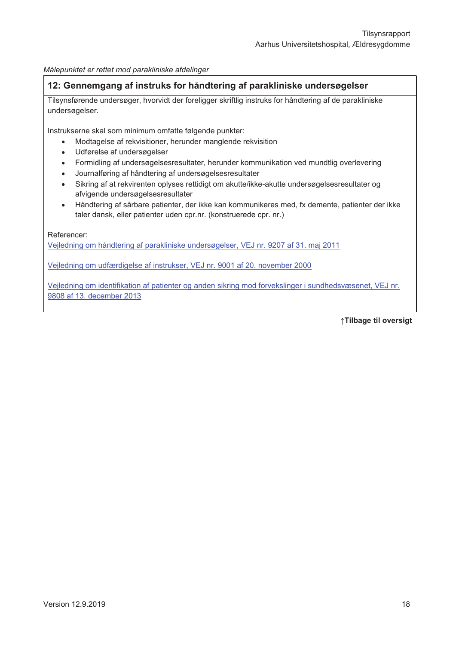Målepunktet er rettet mod parakliniske afdelinger

#### 12: Gennemgang af instruks for håndtering af parakliniske undersøgelser

Tilsynsførende undersøger, hvorvidt der foreligger skriftlig instruks for håndtering af de parakliniske undersøgelser.

Instrukserne skal som minimum omfatte følgende punkter:

- Modtagelse af rekvisitioner, herunder manglende rekvisition
- Udførelse af undersøgelser  $\bullet$
- Formidling af undersøgelsesresultater, herunder kommunikation ved mundtlig overlevering
- Journalføring af håndtering af undersøgelsesresultater
- Sikring af at rekvirenten oplyses rettidigt om akutte/ikke-akutte undersøgelsesresultater og afvigende undersøgelsesresultater
- Håndtering af sårbare patienter, der ikke kan kommunikeres med, fx demente, patienter der ikke taler dansk, eller patienter uden cpr.nr. (konstruerede cpr. nr.)

Referencer:

Vejledning om håndtering af parakliniske undersøgelser, VEJ nr. 9207 af 31. maj 2011

Veiledning om udfærdigelse af instrukser, VEJ nr. 9001 af 20. november 2000

Vejledning om identifikation af patienter og anden sikring mod forvekslinger i sundhedsvæsenet, VEJ nr. 9808 af 13. december 2013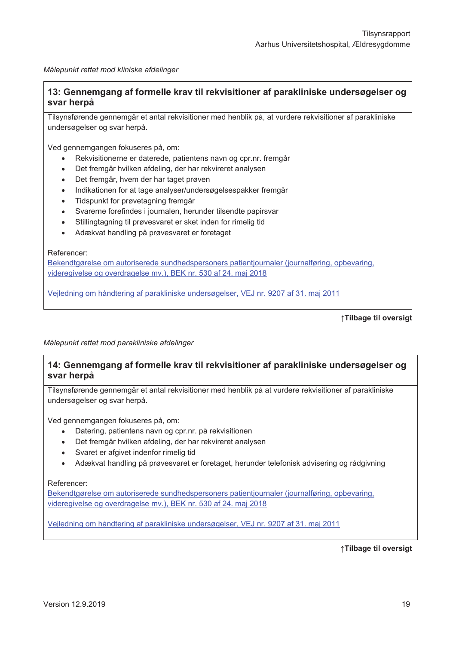Målepunkt rettet mod kliniske afdelinger

#### 13: Gennemgang af formelle krav til rekvisitioner af parakliniske undersøgelser og svar herpå

Tilsynsførende gennemgår et antal rekvisitioner med henblik på, at vurdere rekvisitioner af parakliniske undersøgelser og svar herpå.

Ved gennemgangen fokuseres på, om:

- Rekvisitionerne er daterede, patientens navn og cpr.nr. fremgår
- Det fremgår hvilken afdeling, der har rekvireret analysen
- Det fremgår, hvem der har taget prøven
- Indikationen for at tage analyser/undersøgelsespakker fremgår
- Tidspunkt for prøvetagning fremgår
- Svarerne forefindes i journalen, herunder tilsendte papirsvar
- Stillingtagning til prøvesvaret er sket inden for rimelig tid
- Adækvat handling på prøvesvaret er foretaget

Referencer:

Bekendtgørelse om autoriserede sundhedspersoners patientjournaler (journalføring, opbevaring, videregivelse og overdragelse mv.), BEK nr. 530 af 24. maj 2018

Veiledning om håndtering af parakliniske undersøgelser. VEJ nr. 9207 af 31. mai 2011

↑Tilbage til oversigt

Målepunkt rettet mod parakliniske afdelinger

#### 14: Gennemgang af formelle krav til rekvisitioner af parakliniske undersøgelser og svar herpå

Tilsynsførende gennemgår et antal rekvisitioner med henblik på at vurdere rekvisitioner af parakliniske undersøgelser og svar herpå.

Ved gennemgangen fokuseres på, om:

- Datering, patientens navn og cpr.nr. på rekvisitionen
- Det fremgår hvilken afdeling, der har rekvireret analysen
- Svaret er afgivet indenfor rimelig tid
- Adækvat handling på prøvesvaret er foretaget, herunder telefonisk advisering og rådgivning

Referencer:

Bekendtgørelse om autoriserede sundhedspersoners patientjournaler (journalføring, opbevaring, videregivelse og overdragelse my.). BEK nr. 530 af 24. mai 2018

Vejledning om håndtering af parakliniske undersøgelser, VEJ nr. 9207 af 31. maj 2011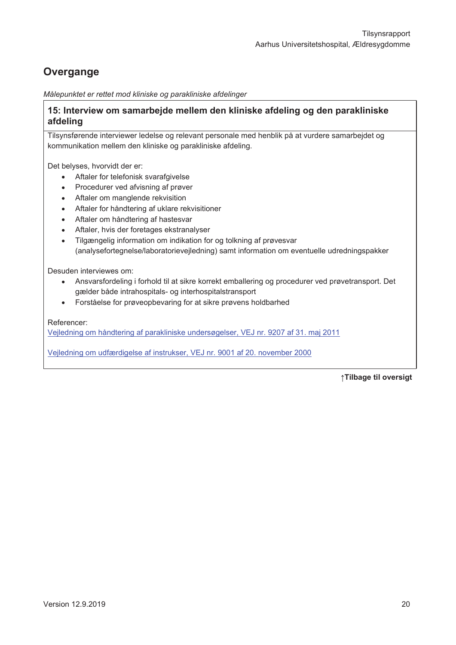# Overgange

Målepunktet er rettet mod kliniske og parakliniske afdelinger

#### 15: Interview om samarbejde mellem den kliniske afdeling og den parakliniske afdeling

Tilsynsførende interviewer ledelse og relevant personale med henblik på at vurdere samarbejdet og kommunikation mellem den kliniske og parakliniske afdeling.

Det belyses, hvorvidt der er:

- Aftaler for telefonisk svarafgivelse
- Procedurer ved afvisning af prøver
- Aftaler om manglende rekvisition
- Aftaler for håndtering af uklare rekvisitioner
- Aftaler om håndtering af hastesvar
- Aftaler, hvis der foretages ekstranalyser
- Tilgængelig information om indikation for og tolkning af prøvesvar (analysefortegnelse/laboratorievejledning) samt information om eventuelle udredningspakker

Desuden interviewes om:

- Ansvarsfordeling i forhold til at sikre korrekt emballering og procedurer ved prøvetransport. Det  $\bullet$ gælder både intrahospitals- og interhospitalstransport
- Forståelse for prøveopbevaring for at sikre prøvens holdbarhed  $\bullet$

Referencer:

Veiledning om håndtering af parakliniske undersøgelser, VEJ nr. 9207 af 31. maj 2011

Vejledning om udfærdigelse af instrukser, VEJ nr. 9001 af 20. november 2000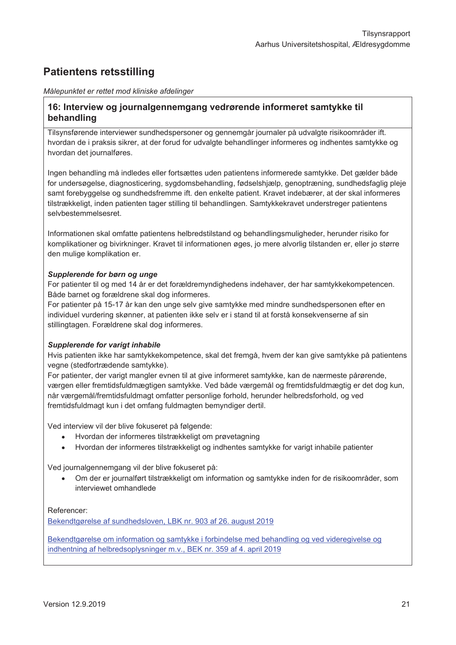## **Patientens retsstilling**

#### Målepunktet er rettet mod kliniske afdelinger

#### 16: Interview og journalgennemgang vedrørende informeret samtykke til behandling

Tilsynsførende interviewer sundhedspersoner og gennemgår journaler på udvalgte risikoområder ift. hvordan de i praksis sikrer, at der forud for udvalgte behandlinger informeres og indhentes samtykke og hvordan det journalføres.

Ingen behandling må indledes eller fortsættes uden patientens informerede samtykke. Det gælder både for undersøgelse, diagnosticering, sygdomsbehandling, fødselshiælp, genoptræning, sundhedsfaglig pleje samt forebyggelse og sundhedsfremme ift. den enkelte patient. Kravet indebærer, at der skal informeres tilstrækkeligt, inden patienten tager stilling til behandlingen. Samtykkekravet understreger patientens selvbestemmelsesret.

Informationen skal omfatte patientens helbredstilstand og behandlingsmuligheder, herunder risiko for komplikationer og bivirkninger. Kravet til informationen øges, jo mere alvorlig tilstanden er, eller jo større den mulige komplikation er.

#### Supplerende for børn og unge

For patienter til og med 14 år er det forældremyndighedens indehaver, der har samtykkekompetencen. Både barnet og forældrene skal dog informeres.

For patienter på 15-17 år kan den unge selv give samtykke med mindre sundhedspersonen efter en individuel vurdering skønner, at patienten ikke selv er i stand til at forstå konsekvenserne af sin stillingtagen. Forældrene skal dog informeres.

#### Supplerende for varigt inhabile

Hvis patienten ikke har samtykkekompetence, skal det fremgå, hvem der kan give samtykke på patientens vegne (stedfortrædende samtykke).

For patienter, der varigt mangler evnen til at give informeret samtykke, kan de nærmeste pårørende. værgen eller fremtidsfuldmægtigen samtykke. Ved både værgemål og fremtidsfuldmægtig er det dog kun, når værgemål/fremtidsfuldmagt omfatter personlige forhold, herunder helbredsforhold, og ved fremtidsfuldmagt kun i det omfang fuldmagten bemyndiger dertil.

Ved interview vil der blive fokuseret på følgende:

- Hvordan der informeres tilstrækkeligt om prøvetagning
- Hvordan der informeres tilstrækkeligt og indhentes samtykke for varigt inhabile patienter  $\bullet$

Ved journalgennemgang vil der blive fokuseret på:

Om der er journalført tilstrækkeligt om information og samtykke inden for de risikoområder, som  $\bullet$ interviewet omhandlede

#### Referencer:

Bekendtgørelse af sundhedsloven, LBK nr. 903 af 26. august 2019

Bekendtgørelse om information og samtykke i forbindelse med behandling og ved videregivelse og indhentning af helbredsoplysninger m.v., BEK nr. 359 af 4. april 2019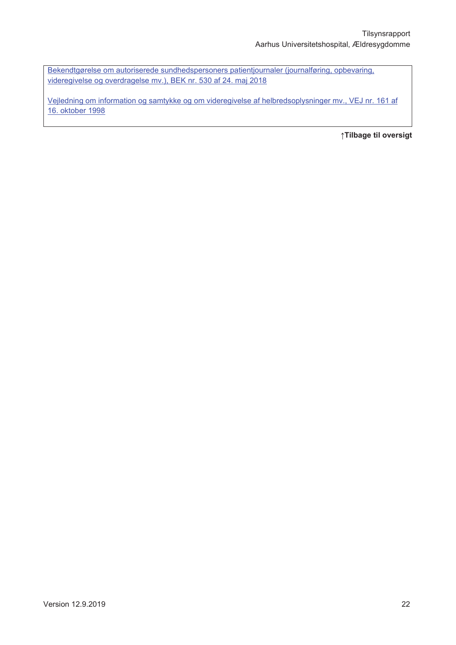Bekendtgørelse om autoriserede sundhedspersoners patientjournaler (journalføring, opbevaring, videregivelse og overdragelse mv.), BEK nr. 530 af 24. maj 2018

Vejledning om information og samtykke og om videregivelse af helbredsoplysninger mv., VEJ nr. 161 af 16. oktober 1998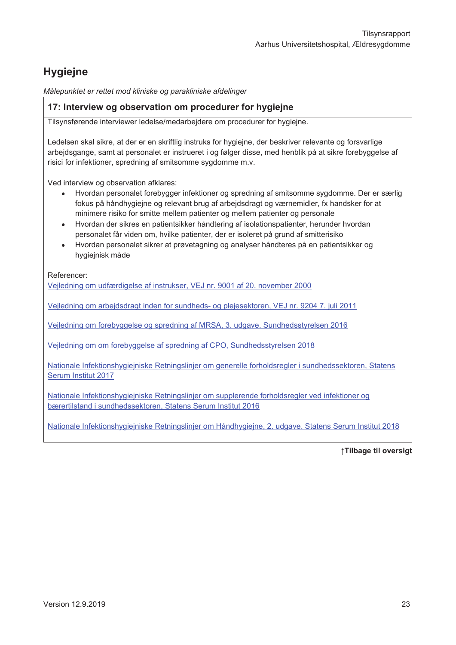# **Hygiejne**

Målepunktet er rettet mod kliniske og parakliniske afdelinger

#### 17: Interview og observation om procedurer for hygiejne

Tilsynsførende interviewer ledelse/medarbejdere om procedurer for hygiejne.

Ledelsen skal sikre, at der er en skriftlig instruks for hygiejne, der beskriver relevante og forsvarlige arbejdsgange, samt at personalet er instrueret i og følger disse, med henblik på at sikre forebyggelse af risici for infektioner, spredning af smitsomme sygdomme m.v.

Ved interview og observation afklares:

- Hvordan personalet forebygger infektioner og spredning af smitsomme sygdomme. Der er særlig fokus på håndhygiejne og relevant brug af arbejdsdragt og værnemidler, fx handsker for at minimere risiko for smitte mellem patienter og mellem patienter og personale
- Hvordan der sikres en patientsikker håndtering af isolationspatienter, herunder hvordan personalet får viden om, hvilke patienter, der er isoleret på grund af smitterisiko
- Hvordan personalet sikrer at prøvetagning og analyser håndteres på en patientsikker og hygiejnisk måde

Referencer:

Vejledning om udfærdigelse af instrukser, VEJ nr. 9001 af 20. november 2000

Vejledning om arbejdsdragt inden for sundheds- og plejesektoren, VEJ nr. 9204 7. juli 2011

Vejledning om forebyggelse og spredning af MRSA, 3. udgave. Sundhedsstyrelsen 2016

Vejledning om om forebyggelse af spredning af CPO, Sundhedsstyrelsen 2018

Nationale Infektionshygieiniske Retningslinier om generelle forholdsregler i sundhedssektoren. Statens Serum Institut 2017

Nationale Infektionshygiejniske Retningslinjer om supplerende forholdsregler ved infektioner og bærertilstand i sundhedssektoren, Statens Serum Institut 2016

Nationale Infektionshygiejniske Retningslinjer om Håndhygiejne, 2. udgave. Statens Serum Institut 2018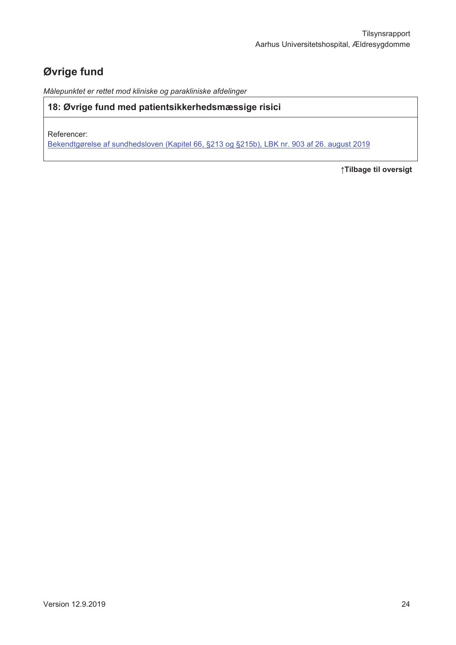# Øvrige fund

Målepunktet er rettet mod kliniske og parakliniske afdelinger

#### 18: Øvrige fund med patientsikkerhedsmæssige risici

Referencer:

Bekendtgørelse af sundhedsloven (Kapitel 66, §213 og §215b), LBK nr. 903 af 26. august 2019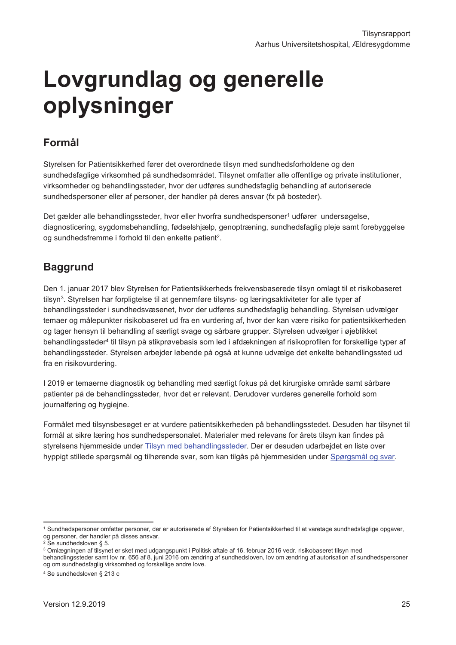# Lovgrundlag og generelle oplysninger

# Formål

Styrelsen for Patientsikkerhed fører det overordnede tilsyn med sundhedsforholdene og den sundhedsfaglige virksomhed på sundhedsområdet. Tilsynet omfatter alle offentlige og private institutioner, virksomheder og behandlingssteder, hvor der udføres sundhedsfaglig behandling af autoriserede sundhedspersoner eller af personer, der handler på deres ansvar (fx på bosteder).

Det gælder alle behandlingssteder, hvor eller hvorfra sundhedspersoner<sup>1</sup> udfører undersøgelse, diagnosticering, sygdomsbehandling, fødselshjælp, genoptræning, sundhedsfaglig pleje samt forebyggelse og sundhedsfremme i forhold til den enkelte patient<sup>2</sup>.

## **Baggrund**

Den 1. januar 2017 blev Styrelsen for Patientsikkerheds frekvensbaserede tilsyn omlagt til et risikobaseret tilsyn<sup>3</sup>. Styrelsen har forpligtelse til at gennemføre tilsyns- og læringsaktiviteter for alle typer af behandlingssteder i sundhedsvæsenet, hvor der udføres sundhedsfaglig behandling. Styrelsen udvælger temaer og målepunkter risikobaseret ud fra en vurdering af, hvor der kan være risiko for patientsikkerheden og tager hensyn til behandling af særligt svage og sårbare grupper. Styrelsen udvælger i øjeblikket behandlingssteder<sup>4</sup> til tilsyn på stikprøvebasis som led i afdækningen af risikoprofilen for forskellige typer af behandlingssteder. Styrelsen arbeider løbende på også at kunne udvælge det enkelte behandlingssted ud fra en risikovurdering.

I 2019 er temaerne diagnostik og behandling med særligt fokus på det kirurgiske område samt sårbare patienter på de behandlingssteder, hvor det er relevant. Derudover vurderes generelle forhold som journalføring og hygiejne.

Formålet med tilsynsbesøget er at vurdere patientsikkerheden på behandlingsstedet. Desuden har tilsynet til formål at sikre læring hos sundhedspersonalet. Materialer med relevans for årets tilsyn kan findes på styrelsens hjemmeside under Tilsyn med behandlingssteder. Der er desuden udarbejdet en liste over hyppigt stillede spørgsmål og tilhørende svar, som kan tilgås på hjemmesiden under Spørgsmål og svar.

<sup>&</sup>lt;sup>1</sup> Sundhedspersoner omfatter personer, der er autoriserede af Styrelsen for Patientsikkerhed til at varetage sundhedsfaglige opgaver, og personer, der handler på disses ansvar.

<sup>&</sup>lt;sup>2</sup> Se sundhedsloven § 5.

<sup>3</sup> Omlægningen af tilsynet er sket med udgangspunkt i Politisk aftale af 16. februar 2016 vedr. risikobaseret tilsyn med

behandlingssteder samt lov nr. 656 af 8. juni 2016 om ændring af sundhedsloven, lov om ændring af autorisation af sundhedspersoner og om sundhedsfaglig virksomhed og forskellige andre love.

<sup>&</sup>lt;sup>4</sup> Se sundhedsloven § 213 c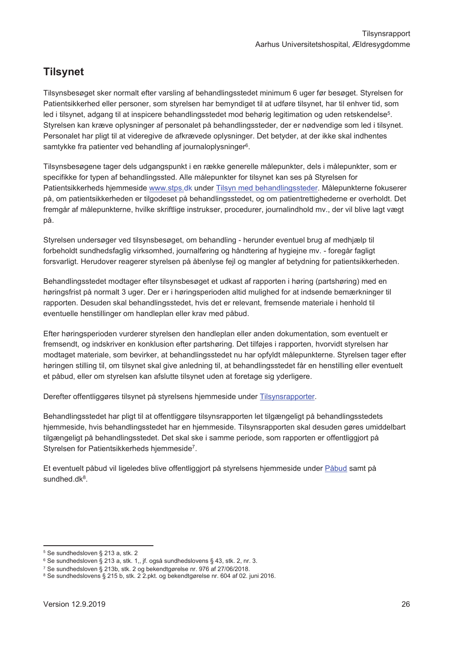## **Tilsynet**

Tilsynsbesøget sker normalt efter varsling af behandlingsstedet minimum 6 uger før besøget. Styrelsen for Patientsikkerhed eller personer, som styrelsen har bemyndiget til at udføre tilsynet, har til enhver tid, som led i tilsvnet, adgang til at inspicere behandlingsstedet mod behørig legitimation og uden retskendelse<sup>5</sup>. Styrelsen kan kræve oplysninger af personalet på behandlingssteder, der er nødvendige som led i tilsynet. Personalet har pligt til at videregive de afkrævede oplysninger. Det betyder, at der ikke skal indhentes samtykke fra patienter ved behandling af journaloplysninger<sup>6</sup>.

Tilsynsbesøgene tager dels udgangspunkt i en række generelle målepunkter, dels i målepunkter, som er specifikke for typen af behandlingssted. Alle målepunkter for tilsynet kan ses på Styrelsen for Patientsikkerheds hjemmeside www.stps.dk under Tilsyn med behandlingssteder. Målepunkterne fokuserer på, om patientsikkerheden er tilgodeset på behandlingsstedet, og om patientrettighederne er overholdt. Det fremgår af målepunkterne, hvilke skriftlige instrukser, procedurer, journalindhold mv., der vil blive lagt vægt på.

Styrelsen undersøger ved tilsynsbesøget, om behandling - herunder eventuel brug af medhjælp til forbeholdt sundhedsfaglig virksomhed, journalføring og håndtering af hygiejne mv. - foregår fagligt forsvarligt. Herudover reagerer styrelsen på åbenlyse fejl og mangler af betydning for patientsikkerheden.

Behandlingsstedet modtager efter tilsynsbesøget et udkast af rapporten i høring (partshøring) med en høringsfrist på normalt 3 uger. Der er i høringsperioden altid mulighed for at indsende bemærkninger til rapporten. Desuden skal behandlingsstedet, hvis det er relevant, fremsende materiale i henhold til eventuelle henstillinger om handleplan eller krav med påbud.

Efter høringsperioden vurderer styrelsen den handleplan eller anden dokumentation, som eventuelt er fremsendt, og indskriver en konklusion efter partshøring. Det tilføjes i rapporten, hvorvidt styrelsen har modtaget materiale, som bevirker, at behandlingsstedet nu har opfyldt målepunkterne. Styrelsen tager efter høringen stilling til, om tilsynet skal give anledning til, at behandlingsstedet får en henstilling eller eventuelt et påbud, eller om styrelsen kan afslutte tilsynet uden at foretage sig yderligere.

Derefter offentliggøres tilsynet på styrelsens hjemmeside under Tilsynsrapporter.

Behandlingsstedet har pligt til at offentliggøre tilsynsrapporten let tilgængeligt på behandlingsstedets hjemmeside, hvis behandlingsstedet har en hjemmeside. Tilsynsrapporten skal desuden gøres umiddelbart tilgængeligt på behandlingsstedet. Det skal ske i samme periode, som rapporten er offentliggjort på Styrelsen for Patientsikkerheds hjemmeside<sup>7</sup>.

Et eventuelt påbud vil ligeledes blive offentliggjort på styrelsens hjemmeside under Påbud samt på sundhed.dk<sup>8</sup>.

<sup>&</sup>lt;sup>5</sup> Se sundhedsloven § 213 a, stk. 2

<sup>&</sup>lt;sup>6</sup> Se sundhedsloven § 213 a, stk. 1,, jf. også sundhedslovens § 43, stk. 2, nr. 3.

<sup>7</sup> Se sundhedsloven § 213b, stk. 2 og bekendtgørelse nr. 976 af 27/06/2018.

<sup>&</sup>lt;sup>8</sup> Se sundhedslovens § 215 b, stk. 2 2 pkt. og bekendtgørelse nr. 604 af 02. juni 2016.